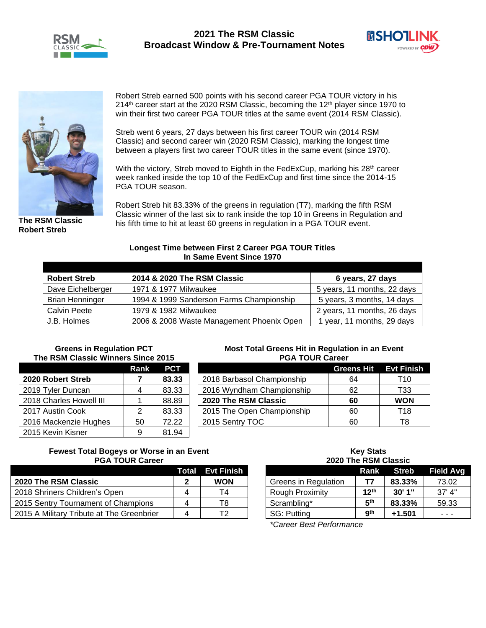





**The RSM Classic Robert Streb**

Robert Streb earned 500 points with his second career PGA TOUR victory in his  $214<sup>th</sup>$  career start at the 2020 RSM Classic, becoming the 12<sup>th</sup> player since 1970 to win their first two career PGA TOUR titles at the same event (2014 RSM Classic).

Streb went 6 years, 27 days between his first career TOUR win (2014 RSM Classic) and second career win (2020 RSM Classic), marking the longest time between a players first two career TOUR titles in the same event (since 1970).

With the victory, Streb moved to Eighth in the FedExCup, marking his 28<sup>th</sup> career week ranked inside the top 10 of the FedExCup and first time since the 2014-15 PGA TOUR season.

Robert Streb hit 83.33% of the greens in regulation (T7), marking the fifth RSM Classic winner of the last six to rank inside the top 10 in Greens in Regulation and his fifth time to hit at least 60 greens in regulation in a PGA TOUR event.

## **Longest Time between First 2 Career PGA TOUR Titles In Same Event Since 1970**

| <b>Robert Streb</b>    | 2014 & 2020 The RSM Classic               | 6 years, 27 days            |
|------------------------|-------------------------------------------|-----------------------------|
| Dave Eichelberger      | 1971 & 1977 Milwaukee                     | 5 years, 11 months, 22 days |
| <b>Brian Henninger</b> | 1994 & 1999 Sanderson Farms Championship  | 5 years, 3 months, 14 days  |
| <b>Calvin Peete</b>    | 1979 & 1982 Milwaukee                     | 2 years, 11 months, 26 days |
| J.B. Holmes            | 2006 & 2008 Waste Management Phoenix Open | 1 year, 11 months, 29 days  |

#### **Greens in Regulation PCT The RSM Classic Winners Since 2015**

|                         | Rank | <b>PCT</b> |
|-------------------------|------|------------|
| 2020 Robert Streb       |      | 83.33      |
| 2019 Tyler Duncan       |      | 83.33      |
| 2018 Charles Howell III |      | 88.89      |
| 2017 Austin Cook        | 2    | 83.33      |
| 2016 Mackenzie Hughes   | 50   | 72.22      |
| 2015 Kevin Kisner       |      | 81.94      |

#### **Most Total Greens Hit in Regulation in an Event PGA TOUR Career**

|                            | <b>Greens Hit Evt Finish</b> |            |
|----------------------------|------------------------------|------------|
| 2018 Barbasol Championship | 64                           | T10        |
| 2016 Wyndham Championship  | 62                           | T33        |
| 2020 The RSM Classic       | 60                           | <b>WON</b> |
| 2015 The Open Championship | 60                           | T18        |
| 2015 Sentry TOC            | 60                           | ГЯ         |

## **Fewest Total Bogeys or Worse in an Event PGA TOUR Career**

|                                           |   | <b>Total Evt Finish</b> |
|-------------------------------------------|---|-------------------------|
| 2020 The RSM Classic                      | 2 | <b>WON</b>              |
| 2018 Shriners Children's Open             | Δ | T4                      |
| 2015 Sentry Tournament of Champions       |   | T8                      |
| 2015 A Military Tribute at The Greenbrier |   | T2.                     |

#### **Key Stats 2020 The RSM Classic**

| ZUZU THE ROM UIASSIG |                  |          |                  |
|----------------------|------------------|----------|------------------|
|                      | <b>Rank</b>      | Streb    | <b>Field Avg</b> |
| Greens in Regulation | T7               | 83.33%   | 73.02            |
| Rough Proximity      | 12 <sup>th</sup> | 30'1"    | $37'$ 4"         |
| Scrambling*          | 5 <sup>th</sup>  | 83.33%   | 59.33            |
| <b>SG: Putting</b>   | gth              | $+1.501$ |                  |

*\*Career Best Performance*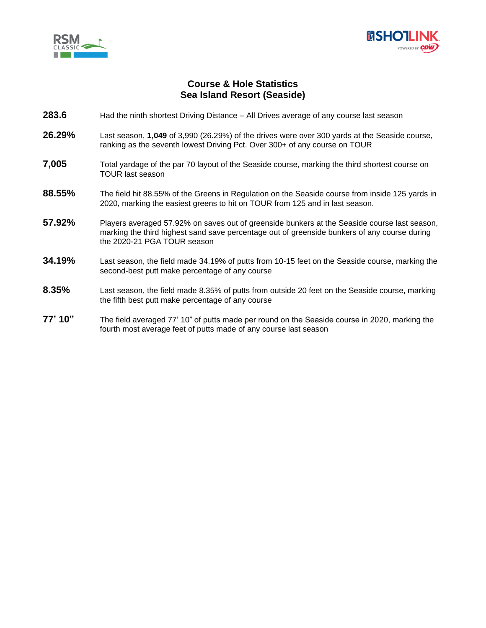



# **Course & Hole Statistics Sea Island Resort (Seaside)**

- **283.6** Had the ninth shortest Driving Distance All Drives average of any course last season
- **26.29%** Last season, **1,049** of 3,990 (26.29%) of the drives were over 300 yards at the Seaside course, ranking as the seventh lowest Driving Pct. Over 300+ of any course on TOUR
- **7,005** Total yardage of the par 70 layout of the Seaside course, marking the third shortest course on TOUR last season
- **88.55%** The field hit 88.55% of the Greens in Regulation on the Seaside course from inside 125 yards in 2020, marking the easiest greens to hit on TOUR from 125 and in last season.
- **57.92%** Players averaged 57.92% on saves out of greenside bunkers at the Seaside course last season, marking the third highest sand save percentage out of greenside bunkers of any course during the 2020-21 PGA TOUR season
- **34.19%** Last season, the field made 34.19% of putts from 10-15 feet on the Seaside course, marking the second-best putt make percentage of any course
- **8.35%** Last season, the field made 8.35% of putts from outside 20 feet on the Seaside course, marking the fifth best putt make percentage of any course
- **77' 10"** The field averaged 77' 10" of putts made per round on the Seaside course in 2020, marking the fourth most average feet of putts made of any course last season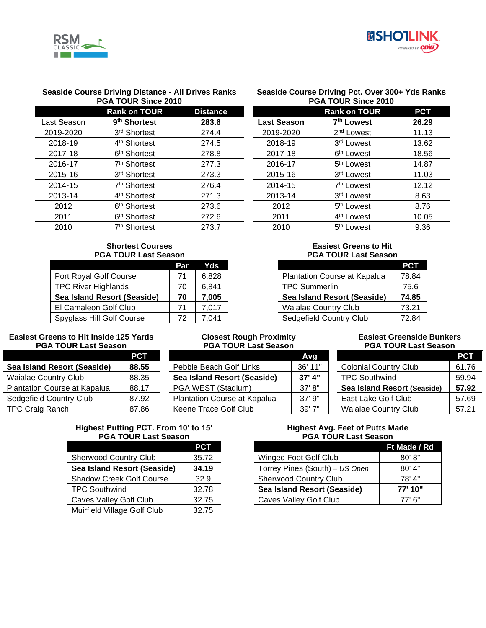



#### **Seaside Course Driving Distance - All Drives Ranks PGA TOUR Since 2010**

|             | <b>Rank on TOUR</b>      | <b>Distance</b> |  |
|-------------|--------------------------|-----------------|--|
| Last Season | 9 <sup>th</sup> Shortest | 283.6           |  |
| 2019-2020   | 3rd Shortest             | 274.4           |  |
| 2018-19     | 4 <sup>th</sup> Shortest | 274.5           |  |
| 2017-18     | 6 <sup>th</sup> Shortest | 278.8           |  |
| 2016-17     | 7 <sup>th</sup> Shortest | 277.3           |  |
| 2015-16     | 3rd Shortest             | 273.3           |  |
| 2014-15     | 7 <sup>th</sup> Shortest | 276.4           |  |
| 2013-14     | 4 <sup>th</sup> Shortest | 271.3           |  |
| 2012        | 6 <sup>th</sup> Shortest | 273.6           |  |
| 2011        | 6 <sup>th</sup> Shortest | 272.6           |  |
| 2010        | 7 <sup>th</sup> Shortest | 273.7           |  |

## **Shortest Courses PGA TOUR Last Season**

|                             | Par | Yds   |
|-----------------------------|-----|-------|
| Port Royal Golf Course      | 71  | 6,828 |
| <b>TPC River Highlands</b>  | 70  | 6,841 |
| Sea Island Resort (Seaside) | 70  | 7,005 |
| El Camaleon Golf Club       | 71  | 7,017 |
| Spyglass Hill Golf Course   | 72  | 7.041 |

## **Easiest Greens to Hit Inside 125 Yards PGA TOUR Last Season**

|                              | <b>PCT</b> |                      |
|------------------------------|------------|----------------------|
| Sea Island Resort (Seaside)  | 88.55      | Pebble Beach         |
| <b>Waialae Country Club</b>  | 88.35      | Sea Island Ro        |
| Plantation Course at Kapalua | 88.17      | PGA WEST (           |
| Sedgefield Country Club      | 87.92      | <b>Plantation Co</b> |
| <b>TPC Craig Ranch</b>       | 87.86      | Keene Trace          |

# **Highest Putting PCT. From 10' to 15' PGA TOUR Last Season**

|                                 | PCT   |
|---------------------------------|-------|
| <b>Sherwood Country Club</b>    | 35.72 |
| Sea Island Resort (Seaside)     | 34.19 |
| <b>Shadow Creek Golf Course</b> | 32.9  |
| <b>TPC Southwind</b>            | 32.78 |
| <b>Caves Valley Golf Club</b>   | 32.75 |
| Muirfield Village Golf Club     | 32.75 |

## **Seaside Course Driving Pct. Over 300+ Yds Ranks PGA TOUR Since 2010**

|                    | <b>Rank on TOUR</b>    | <b>PCT</b> |
|--------------------|------------------------|------------|
| <b>Last Season</b> | 7 <sup>th</sup> Lowest | 26.29      |
| 2019-2020          | 2 <sup>nd</sup> Lowest | 11.13      |
| 2018-19            | 3rd Lowest             | 13.62      |
| 2017-18            | 6 <sup>th</sup> Lowest | 18.56      |
| 2016-17            | 5 <sup>th</sup> Lowest | 14.87      |
| 2015-16            | 3rd Lowest             | 11.03      |
| 2014-15            | 7 <sup>th</sup> Lowest | 12.12      |
| 2013-14            | 3rd Lowest             | 8.63       |
| 2012               | 5 <sup>th</sup> Lowest | 8.76       |
| 2011               | 4 <sup>th</sup> Lowest | 10.05      |
| 2010               | 5 <sup>th</sup> Lowest | 9.36       |

## **Easiest Greens to Hit PGA TOUR Last Season**

|                                     | <b>PCT</b> |
|-------------------------------------|------------|
| <b>Plantation Course at Kapalua</b> | 78.84      |
| <b>TPC Summerlin</b>                | 75.6       |
| Sea Island Resort (Seaside)         | 74.85      |
| <b>Waialae Country Club</b>         | 73.21      |
| Sedgefield Country Club             | 72.84      |

#### **Closest Rough Proximity PGA TOUR Last Season**

|                              | Avq      |
|------------------------------|----------|
| Pebble Beach Golf Links      | 36' 11"  |
| Sea Island Resort (Seaside)  | 37' 4''  |
| PGA WEST (Stadium)           | 37' 8''  |
| Plantation Course at Kapalua | $37'$ 9" |
| Keene Trace Golf Club        | 39'7''   |
|                              |          |

#### **Easiest Greenside Bunkers PGA TOUR Last Season**

|                              | PCT   |
|------------------------------|-------|
| <b>Colonial Country Club</b> | 61.76 |
| <b>TPC Southwind</b>         | 59.94 |
| Sea Island Resort (Seaside)  | 57.92 |
| East Lake Golf Club          | 57.69 |
|                              |       |

## **Highest Avg. Feet of Putts Made PGA TOUR Last Season**

|                                | Ft Made / Rd |
|--------------------------------|--------------|
| Winged Foot Golf Club          | 80' 8"       |
| Torrey Pines (South) - US Open | $80'$ 4"     |
| <b>Sherwood Country Club</b>   | 78' 4"       |
| Sea Island Resort (Seaside)    | 77' 10"      |
| Caves Valley Golf Club         | 77' 6"       |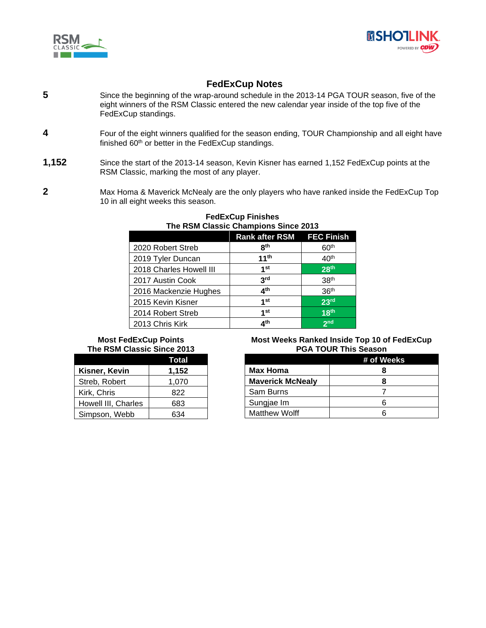



# **FedExCup Notes**

- **5** Since the beginning of the wrap-around schedule in the 2013-14 PGA TOUR season, five of the eight winners of the RSM Classic entered the new calendar year inside of the top five of the FedExCup standings.
- **4** Four of the eight winners qualified for the season ending, TOUR Championship and all eight have finished 60<sup>th</sup> or better in the FedExCup standings.
- **1,152** Since the start of the 2013-14 season, Kevin Kisner has earned 1,152 FedExCup points at the RSM Classic, marking the most of any player.
- **2** Max Homa & Maverick McNealy are the only players who have ranked inside the FedExCup Top 10 in all eight weeks this season.

| THE NOW CROSIC CHAMPIONS SHICE 2013 |                           |                  |  |
|-------------------------------------|---------------------------|------------------|--|
|                                     | Rank after RSM FEC Finish |                  |  |
| 2020 Robert Streb                   | 8 <sup>th</sup>           | 60 <sup>th</sup> |  |
| 2019 Tyler Duncan                   | 11 <sup>th</sup>          | 40 <sup>th</sup> |  |
| 2018 Charles Howell III             | 1 <sup>st</sup>           | 28 <sup>th</sup> |  |
| 2017 Austin Cook                    | 3 <sup>rd</sup>           | 38 <sup>th</sup> |  |
| 2016 Mackenzie Hughes               | 4 <sup>th</sup>           | 36 <sup>th</sup> |  |
| 2015 Kevin Kisner                   | 1 <sup>st</sup>           | 23 <sup>rd</sup> |  |
| 2014 Robert Streb                   | 1 <sup>st</sup>           | 18 <sup>th</sup> |  |
| 2013 Chris Kirk                     | 4 <sup>th</sup>           | 2 <sub>nd</sub>  |  |

#### **FedExCup Finishes The RSM Classic Champions Since 2013**

# **Most FedExCup Points The RSM Classic Since 2013**

|                     | Total |
|---------------------|-------|
| Kisner, Kevin       | 1,152 |
| Streb, Robert       | 1,070 |
| Kirk, Chris         | 822   |
| Howell III, Charles | 683   |
| Simpson, Webb       | 634   |

#### **Most Weeks Ranked Inside Top 10 of FedExCup PGA TOUR This Season**

|                         | # of Weeks |
|-------------------------|------------|
| Max Homa                |            |
| <b>Maverick McNealy</b> |            |
| Sam Burns               |            |
| Sungjae Im              |            |
| <b>Matthew Wolff</b>    |            |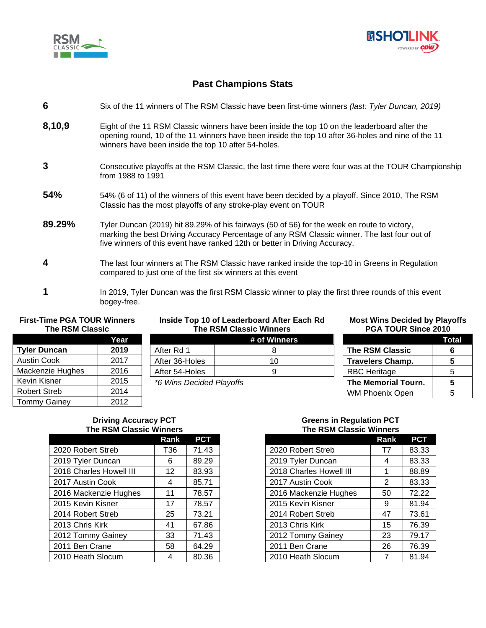



# **Past Champions Stats**

# **6** Six of the 11 winners of The RSM Classic have been first-time winners *(last: Tyler Duncan, 2019)*

- **8,10,9** Eight of the 11 RSM Classic winners have been inside the top 10 on the leaderboard after the opening round, 10 of the 11 winners have been inside the top 10 after 36-holes and nine of the 11 winners have been inside the top 10 after 54-holes.
- **3** Consecutive playoffs at the RSM Classic, the last time there were four was at the TOUR Championship from 1988 to 1991
- **54%** 54% (6 of 11) of the winners of this event have been decided by a playoff. Since 2010, The RSM Classic has the most playoffs of any stroke-play event on TOUR
- **89.29%** Tyler Duncan (2019) hit 89.29% of his fairways (50 of 56) for the week en route to victory, marking the best Driving Accuracy Percentage of any RSM Classic winner. The last four out of five winners of this event have ranked 12th or better in Driving Accuracy.
- **4** The last four winners at The RSM Classic have ranked inside the top-10 in Greens in Regulation compared to just one of the first six winners at this event
- **1** In 2019, Tyler Duncan was the first RSM Classic winner to play the first three rounds of this event bogey-free.

#### **First-Time PGA TOUR Winners The RSM Classic**

|                     | Year |  |
|---------------------|------|--|
| <b>Tyler Duncan</b> | 2019 |  |
| <b>Austin Cook</b>  | 2017 |  |
| Mackenzie Hughes    | 2016 |  |
| Kevin Kisner        | 2015 |  |
| <b>Robert Streb</b> | 2014 |  |
| <b>Tommy Gainey</b> | 2012 |  |

## **Inside Top 10 of Leaderboard After Each Rd The RSM Classic Winners**

#### **Most Wins Decided by Playoffs PGA TOUR Since 2010**

**The RSM Classic 6 Travelers Champ. 5** RBC Heritage 15 **The Memorial Tourn. 5** WM Phoenix Open | 5

**Total**

|                          | # of Winners |  |
|--------------------------|--------------|--|
| After Rd 1               |              |  |
| After 36-Holes           | 10           |  |
| After 54-Holes           |              |  |
| *6 Wins Decided Playoffs |              |  |

# **Greens in Regulation PCT The RSM Classic Winners**

|                         | Rank | <b>PCT</b> |
|-------------------------|------|------------|
| 2020 Robert Streb       | T7   | 83.33      |
| 2019 Tyler Duncan       | 4    | 83.33      |
| 2018 Charles Howell III | 1    | 88.89      |
| 2017 Austin Cook        | 2    | 83.33      |
| 2016 Mackenzie Hughes   | 50   | 72.22      |
| 2015 Kevin Kisner       | 9    | 81.94      |
| 2014 Robert Streb       | 47   | 73.61      |
| 2013 Chris Kirk         | 15   | 76.39      |
| 2012 Tommy Gainey       | 23   | 79.17      |
| 2011 Ben Crane          | 26   | 76.39      |
| 2010 Heath Slocum       | 7    | 81.94      |

## **Driving Accuracy PCT The RSM Classic Winners**

|                         | Rank | <b>PCT</b> |
|-------------------------|------|------------|
| 2020 Robert Streb       | T36  | 71.43      |
| 2019 Tyler Duncan       | 6    | 89.29      |
| 2018 Charles Howell III | 12   | 83.93      |
| 2017 Austin Cook        | 4    | 85.71      |
| 2016 Mackenzie Hughes   | 11   | 78.57      |
| 2015 Kevin Kisner       | 17   | 78.57      |
| 2014 Robert Streb       | 25   | 73.21      |
| 2013 Chris Kirk         | 41   | 67.86      |
| 2012 Tommy Gainey       | 33   | 71.43      |
| 2011 Ben Crane          | 58   | 64.29      |
| 2010 Heath Slocum       | 4    | 80.36      |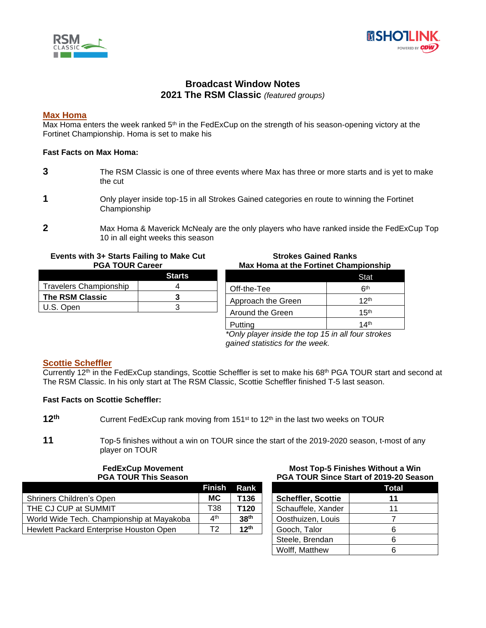



# **Broadcast Window Notes 2021 The RSM Classic** *(featured groups)*

# **Max Homa**

Max Homa enters the week ranked 5<sup>th</sup> in the FedExCup on the strength of his season-opening victory at the Fortinet Championship. Homa is set to make his

## **Fast Facts on Max Homa:**

- **3** The RSM Classic is one of three events where Max has three or more starts and is yet to make the cut
- **1** Only player inside top-15 in all Strokes Gained categories en route to winning the Fortinet Championship
- **2** Max Homa & Maverick McNealy are the only players who have ranked inside the FedExCup Top 10 in all eight weeks this season

#### **Events with 3+ Starts Failing to Make Cut PGA TOUR Career**

|                               | <b>Starts</b> |
|-------------------------------|---------------|
| <b>Travelers Championship</b> |               |
| <b>The RSM Classic</b>        |               |
| U.S. Open                     |               |

## **Strokes Gained Ranks Max Homa at the Fortinet Championship**

|                    | Stat             |
|--------------------|------------------|
| Off-the-Tee        | հth              |
| Approach the Green | 12 <sup>th</sup> |
| Around the Green   | 15 <sup>th</sup> |
| Putting            | 14 <sup>th</sup> |

*\*Only player inside the top 15 in all four strokes gained statistics for the week.*

## **Scottie Scheffler**

Currently 12<sup>th</sup> in the FedExCup standings, Scottie Scheffler is set to make his 68<sup>th</sup> PGA TOUR start and second at The RSM Classic. In his only start at The RSM Classic, Scottie Scheffler finished T-5 last season.

## **Fast Facts on Scottie Scheffler:**

**11** Top-5 finishes without a win on TOUR since the start of the 2019-2020 season, t-most of any player on TOUR

#### **FedExCup Movement PGA TOUR This Season**

|                                           | <b>Finish</b>   | Rank             |
|-------------------------------------------|-----------------|------------------|
| Shriners Children's Open                  | MC.             | T136             |
| THE CJ CUP at SUMMIT                      | T38             | T <sub>120</sub> |
| World Wide Tech. Championship at Mayakoba | 4 <sup>th</sup> | 38 <sup>th</sup> |
| Hewlett Packard Enterprise Houston Open   | T2              | 12 <sup>th</sup> |

#### **Most Top-5 Finishes Without a Win PGA TOUR Since Start of 2019-20 Season**

|                           | Total |
|---------------------------|-------|
| <b>Scheffler, Scottie</b> | 11    |
| Schauffele, Xander        | 11    |
| Oosthuizen, Louis         |       |
| Gooch, Talor              | ห     |
| Steele, Brendan           | ค     |
| Wolff, Matthew            |       |

**<sup>12</sup>** Current FedExCup rank moving from 151<sup>st</sup> to 12<sup>th</sup> in the last two weeks on TOUR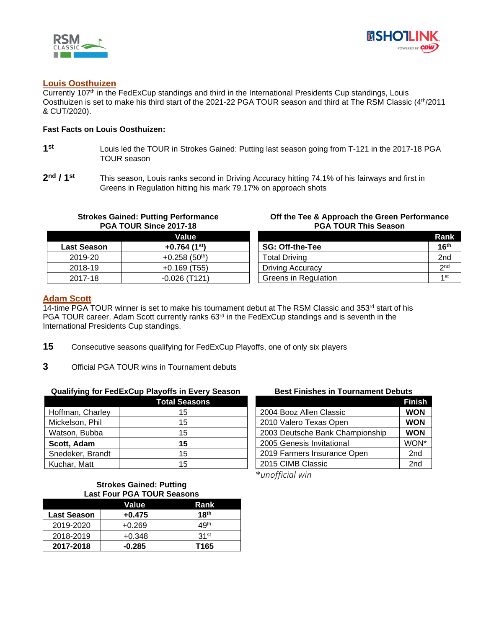



## **Louis Oosthuizen**

Currently 107<sup>th</sup> in the FedExCup standings and third in the International Presidents Cup standings, Louis Oosthuizen is set to make his third start of the 2021-22 PGA TOUR season and third at The RSM Classic (4th/2011 & CUT/2020).

#### **Fast Facts on Louis Oosthuizen:**

- **1 st** Louis led the TOUR in Strokes Gained: Putting last season going from T-121 in the 2017-18 PGA TOUR season
- **2 nd / 1 st** This season, Louis ranks second in Driving Accuracy hitting 74.1% of his fairways and first in Greens in Regulation hitting his mark 79.17% on approach shots

# **PGA TOUR Since 2017-18 Value Last Season +0.764 (1<sup>st</sup>)** 2019-20 | +0.258 (50<sup>th</sup>) 2018-19 +0.169 (T55) 2017-18 -0.026 (T121)

**Strokes Gained: Putting Performance** 

#### **Off the Tee & Approach the Green Performance PGA TOUR This Season**

|                         | Rank             |
|-------------------------|------------------|
| <b>SG: Off-the-Tee</b>  | 16 <sup>th</sup> |
| <b>Total Driving</b>    | 2 <sub>nd</sub>  |
| <b>Driving Accuracy</b> | 2 <sub>nd</sub>  |
| Greens in Regulation    | 1 <sub>st</sub>  |

## **Adam Scott**

14-time PGA TOUR winner is set to make his tournament debut at The RSM Classic and 353<sup>rd</sup> start of his PGA TOUR career. Adam Scott currently ranks 63<sup>rd</sup> in the FedExCup standings and is seventh in the International Presidents Cup standings.

- **15** Consecutive seasons qualifying for FedExCup Playoffs, one of only six players
- **3** Official PGA TOUR wins in Tournament debuts

#### **Qualifying for FedExCup Playoffs in Every Season**

|                  | <b>Total Seasons</b> |
|------------------|----------------------|
| Hoffman, Charley | 15                   |
| Mickelson, Phil  | 15                   |
| Watson, Bubba    | 15                   |
| Scott, Adam      | 15                   |
| Snedeker, Brandt | 15                   |
| Kuchar, Matt     | 15                   |

## **Best Finishes in Tournament Debuts**

|                                 | <b>Finish</b>   |
|---------------------------------|-----------------|
| 2004 Booz Allen Classic         | <b>WON</b>      |
| 2010 Valero Texas Open          | <b>WON</b>      |
| 2003 Deutsche Bank Championship | <b>WON</b>      |
| 2005 Genesis Invitational       | WON*            |
| 2019 Farmers Insurance Open     | 2 <sub>nd</sub> |
| 2015 CIMB Classic               | 2 <sub>nd</sub> |

\**unofficial win*

#### **Strokes Gained: Putting Last Four PGA TOUR Seasons**

| Value<br>Rank      |          |                  |
|--------------------|----------|------------------|
| <b>Last Season</b> | $+0.475$ | 18 <sup>th</sup> |
| 2019-2020          | $+0.269$ | 49 <sup>th</sup> |
| 2018-2019          | $+0.348$ | 31st             |
| 2017-2018          | $-0.285$ | T165             |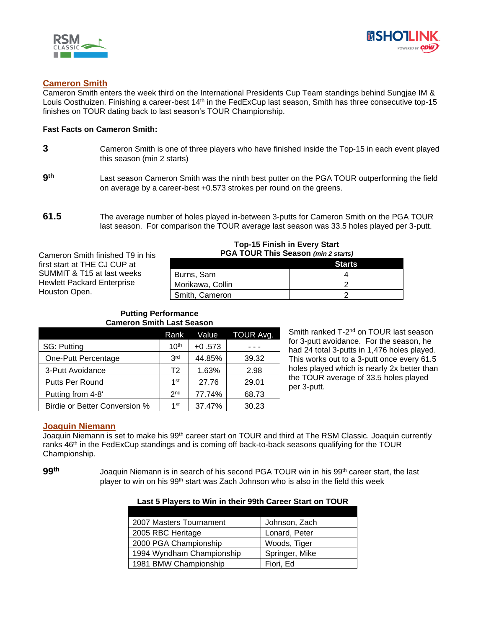



# **Cameron Smith**

Cameron Smith enters the week third on the International Presidents Cup Team standings behind Sungjae IM & Louis Oosthuizen. Finishing a career-best 14<sup>th</sup> in the FedExCup last season, Smith has three consecutive top-15 finishes on TOUR dating back to last season's TOUR Championship.

#### **Fast Facts on Cameron Smith:**

- **3** Cameron Smith is one of three players who have finished inside the Top-15 in each event played this season (min 2 starts)
- **9** Last season Cameron Smith was the ninth best putter on the PGA TOUR outperforming the field on average by a career-best +0.573 strokes per round on the greens.
- **61.5** The average number of holes played in-between 3-putts for Cameron Smith on the PGA TOUR last season. For comparison the TOUR average last season was 33.5 holes played per 3-putt.

#### Cameron Smith finished T9 in his first start at THE CJ CUP at SUMMIT & T15 at last weeks Hewlett Packard Enterprise Houston Open. **Top-15 Finish in Every Start PGA TOUR This Season** *(min 2 starts)* **Starts** Burns, Sam 4 Morikawa, Collin 2 Smith, Cameron 2

#### **Putting Performance Cameron Smith Last Season**

|                               | Rank             | Value    | TOUR Avg. |
|-------------------------------|------------------|----------|-----------|
| SG: Putting                   | 10 <sup>th</sup> | $+0.573$ |           |
| One-Putt Percentage           | 3 <sup>rd</sup>  | 44.85%   | 39.32     |
| 3-Putt Avoidance              | Т2               | 1.63%    | 2.98      |
| Putts Per Round               | 1st              | 27.76    | 29.01     |
| Putting from 4-8'             | 2 <sub>nd</sub>  | 77.74%   | 68.73     |
| Birdie or Better Conversion % | 1st              | 37.47%   | 30.23     |

Smith ranked T-2<sup>nd</sup> on TOUR last season for 3-putt avoidance. For the season, he had 24 total 3-putts in 1,476 holes played. This works out to a 3-putt once every 61.5 holes played which is nearly 2x better than the TOUR average of 33.5 holes played per 3-putt.

## **Joaquin Niemann**

Joaquin Niemann is set to make his 99<sup>th</sup> career start on TOUR and third at The RSM Classic. Joaquin currently ranks 46<sup>th</sup> in the FedExCup standings and is coming off back-to-back seasons qualifying for the TOUR Championship.

99<sup>th</sup> Joaquin Niemann is in search of his second PGA TOUR win in his 99<sup>th</sup> career start, the last player to win on his 99th start was Zach Johnson who is also in the field this week

| Last 5 Players to Win in their 99th Career Start on TOUR |
|----------------------------------------------------------|
|----------------------------------------------------------|

| 2007 Masters Tournament   | Johnson, Zach  |
|---------------------------|----------------|
| 2005 RBC Heritage         | Lonard, Peter  |
| 2000 PGA Championship     | Woods, Tiger   |
| 1994 Wyndham Championship | Springer, Mike |
| 1981 BMW Championship     | Fiori. Ed      |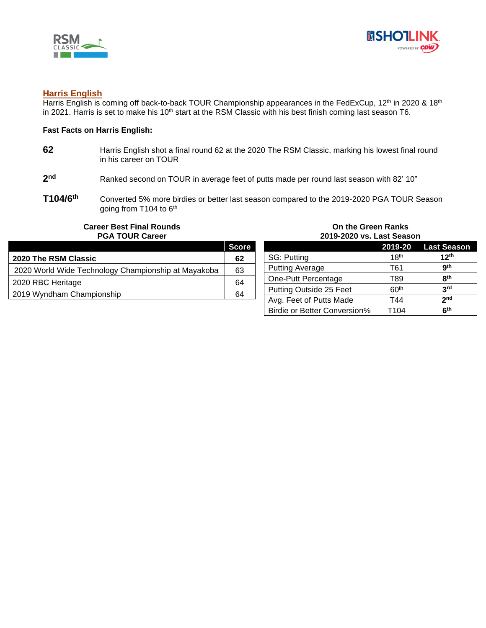



## **Harris English**

Harris English is coming off back-to-back TOUR Championship appearances in the FedExCup, 12<sup>th</sup> in 2020 & 18<sup>th</sup> in 2021. Harris is set to make his 10<sup>th</sup> start at the RSM Classic with his best finish coming last season T6.

#### **Fast Facts on Harris English:**

- **62** Harris English shot a final round 62 at the 2020 The RSM Classic, marking his lowest final round in his career on TOUR
- **2** Ranked second on TOUR in average feet of putts made per round last season with 82' 10"
- **T104/6 th** Converted 5% more birdies or better last season compared to the 2019-2020 PGA TOUR Season going from T104 to 6<sup>th</sup>

#### **Career Best Final Rounds PGA TOUR Career**

|                                                     | <b>Score</b> |
|-----------------------------------------------------|--------------|
| 2020 The RSM Classic                                | 62           |
| 2020 World Wide Technology Championship at Mayakoba | 63           |
| 2020 RBC Heritage                                   | 64           |
| 2019 Wyndham Championship                           | 64           |

#### **On the Green Ranks 2019-2020 vs. Last Season**

|                              |                  | 2019-20 Last Season |
|------------------------------|------------------|---------------------|
| SG: Putting                  | 18 <sup>th</sup> | 12 <sup>th</sup>    |
| <b>Putting Average</b>       | T61              | <b>gth</b>          |
| One-Putt Percentage          | T89              | <b>Rth</b>          |
| Putting Outside 25 Feet      | 60 <sup>th</sup> | 3rd                 |
| Avg. Feet of Putts Made      | T44              | 2 <sub>nd</sub>     |
| Birdie or Better Conversion% | T104             | 6 <sup>th</sup>     |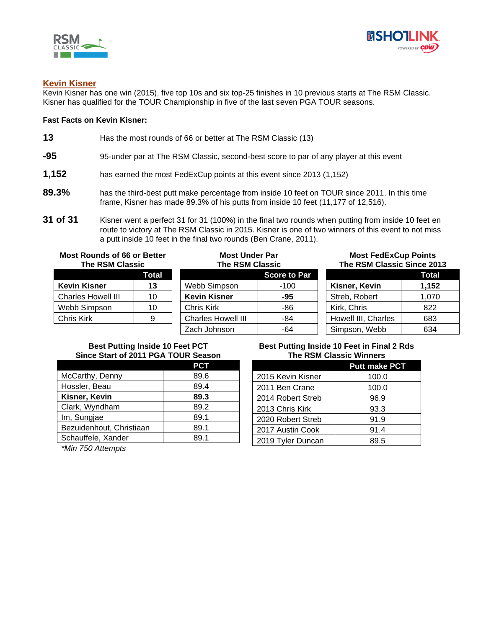



# **Kevin Kisner**

Kevin Kisner has one win (2015), five top 10s and six top-25 finishes in 10 previous starts at The RSM Classic. Kisner has qualified for the TOUR Championship in five of the last seven PGA TOUR seasons.

## **Fast Facts on Kevin Kisner:**

- **13** Has the most rounds of 66 or better at The RSM Classic (13)
- **-95** 95-under par at The RSM Classic, second-best score to par of any player at this event
- **1,152** has earned the most FedExCup points at this event since 2013 (1,152)
- **89.3%** has the third-best putt make percentage from inside 10 feet on TOUR since 2011. In this time frame, Kisner has made 89.3% of his putts from inside 10 feet (11,177 of 12,516).
- **31 of 31** Kisner went a perfect 31 for 31 (100%) in the final two rounds when putting from inside 10 feet en route to victory at The RSM Classic in 2015. Kisner is one of two winners of this event to not miss a putt inside 10 feet in the final two rounds (Ben Crane, 2011).

| <b>Most Rounds of 66 or Better</b><br><b>The RSM Classic</b> |       | <b>Most Under Par</b><br><b>The RSM Classic</b> |                     | <b>Most FedExCup Points</b><br>The RSM Classic Since 2013 |       |
|--------------------------------------------------------------|-------|-------------------------------------------------|---------------------|-----------------------------------------------------------|-------|
|                                                              | Total |                                                 | <b>Score to Par</b> |                                                           | Total |
| <b>Kevin Kisner</b>                                          | 13    | Webb Simpson                                    | $-100$              | Kisner, Kevin                                             | 1,152 |
| <b>Charles Howell III</b>                                    | 10    | <b>Kevin Kisner</b>                             | -95                 | Streb, Robert                                             | 1,070 |
| Webb Simpson                                                 | 10    | Chris Kirk                                      | -86                 | Kirk, Chris                                               | 822   |
| Chris Kirk                                                   | 9     | <b>Charles Howell III</b>                       | -84                 | Howell III, Charles                                       | 683   |
|                                                              |       | Zach Johnson                                    | -64                 | Simpson, Webb                                             | 634   |

## **Best Putting Inside 10 Feet PCT Since Start of 2011 PGA TOUR Season**

|                          | <b>PCT</b> |
|--------------------------|------------|
| McCarthy, Denny          | 89.6       |
| Hossler, Beau            | 89.4       |
| Kisner, Kevin            | 89.3       |
| Clark, Wyndham           | 89.2       |
| Im, Sungjae              | 89.1       |
| Bezuidenhout, Christiaan | 89.1       |
| Schauffele, Xander       | 89.1       |

## **Best Putting Inside 10 Feet in Final 2 Rds The RSM Classic Winners**

|                   | <b>Putt make PCT</b> |
|-------------------|----------------------|
| 2015 Kevin Kisner | 100.0                |
| 2011 Ben Crane    | 100.0                |
| 2014 Robert Streb | 96.9                 |
| 2013 Chris Kirk   | 93.3                 |
| 2020 Robert Streb | 91.9                 |
| 2017 Austin Cook  | 91.4                 |
| 2019 Tyler Duncan | 89.5                 |

*\*Min 750 Attempts*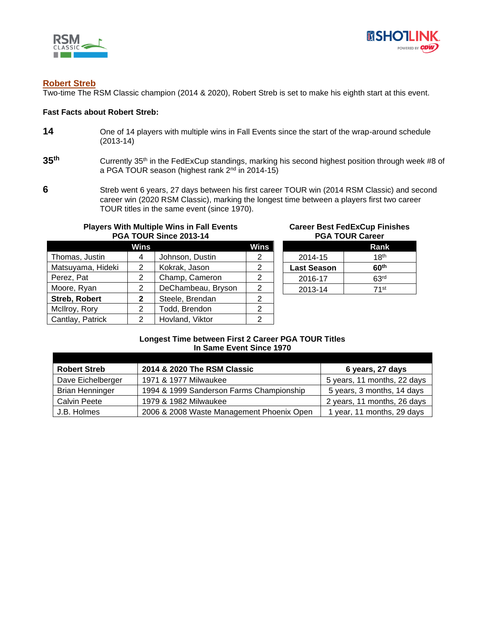



## **Robert Streb**

Two-time The RSM Classic champion (2014 & 2020), Robert Streb is set to make his eighth start at this event.

#### **Fast Facts about Robert Streb:**

- **14** One of 14 players with multiple wins in Fall Events since the start of the wrap-around schedule (2013-14)
- **35** Currently 35<sup>th</sup> in the FedExCup standings, marking his second highest position through week #8 of a PGA TOUR season (highest rank 2<sup>nd</sup> in 2014-15)
- **6** Streb went 6 years, 27 days between his first career TOUR win (2014 RSM Classic) and second career win (2020 RSM Classic), marking the longest time between a players first two career TOUR titles in the same event (since 1970).

# **Players With Multiple Wins in Fall Events PGA TOUR Since 2013-14**

|                      | Wins |                    | Wins. |
|----------------------|------|--------------------|-------|
| Thomas, Justin       | 4    | Johnson, Dustin    |       |
| Matsuyama, Hideki    | 2    | Kokrak, Jason      | 2     |
| Perez, Pat           | 2    | Champ, Cameron     | 2     |
| Moore, Ryan          | 2    | DeChambeau, Bryson |       |
| <b>Streb, Robert</b> | 2    | Steele, Brendan    |       |
| McIlroy, Rory        | 2    | Todd, Brendon      | 2     |
| Cantlay, Patrick     | 2    | Hovland, Viktor    |       |

## **Career Best FedExCup Finishes PGA TOUR Career**

|                    | Rank             |
|--------------------|------------------|
| 2014-15            | 18 <sup>th</sup> |
| <b>Last Season</b> | 60 <sup>th</sup> |
| 2016-17            | 63 <sup>rd</sup> |
| 2013-14            | 71st             |

## **Longest Time between First 2 Career PGA TOUR Titles In Same Event Since 1970**

| <b>Robert Streb</b>    | 2014 & 2020 The RSM Classic               | 6 years, 27 days            |
|------------------------|-------------------------------------------|-----------------------------|
| Dave Eichelberger      | 1971 & 1977 Milwaukee                     | 5 years, 11 months, 22 days |
| <b>Brian Henninger</b> | 1994 & 1999 Sanderson Farms Championship  | 5 years, 3 months, 14 days  |
| <b>Calvin Peete</b>    | 1979 & 1982 Milwaukee                     | 2 years, 11 months, 26 days |
| J.B. Holmes            | 2006 & 2008 Waste Management Phoenix Open | 1 year, 11 months, 29 days  |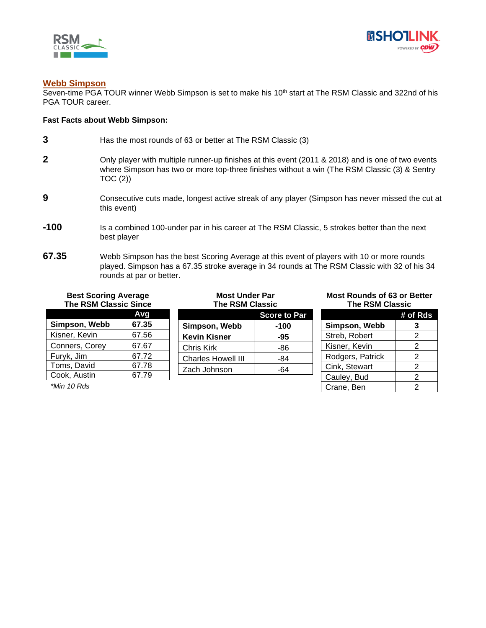



## **Webb Simpson**

Seven-time PGA TOUR winner Webb Simpson is set to make his 10<sup>th</sup> start at The RSM Classic and 322nd of his PGA TOUR career.

#### **Fast Facts about Webb Simpson:**

- **3** Has the most rounds of 63 or better at The RSM Classic (3) **2** Only player with multiple runner-up finishes at this event (2011 & 2018) and is one of two events where Simpson has two or more top-three finishes without a win (The RSM Classic (3) & Sentry  $TOC(2)$ **9** Consecutive cuts made, longest active streak of any player (Simpson has never missed the cut at this event)
- **-100** Is a combined 100-under par in his career at The RSM Classic, 5 strokes better than the next best player
- **67.35** Webb Simpson has the best Scoring Average at this event of players with 10 or more rounds played. Simpson has a 67.35 stroke average in 34 rounds at The RSM Classic with 32 of his 34 rounds at par or better.

# **Best Scoring Average The RSM Classic Since**

|                | Avq   |
|----------------|-------|
| Simpson, Webb  | 67.35 |
| Kisner, Kevin  | 67.56 |
| Conners, Corey | 67.67 |
| Furyk, Jim     | 67.72 |
| Toms, David    | 67.78 |
| Cook, Austin   | 67.79 |

*\*Min 10 Rds*

# **Most Under Par The RSM Classic**

|                           | <b>Score to Par</b> |
|---------------------------|---------------------|
| Simpson, Webb             | -100                |
| <b>Kevin Kisner</b>       | -95                 |
| <b>Chris Kirk</b>         | -86                 |
| <b>Charles Howell III</b> | -84                 |
| Zach Johnson              | -64                 |

#### **Most Rounds of 63 or Better The RSM Classic**

|                  | # of Rds      |
|------------------|---------------|
| Simpson, Webb    | 3             |
| Streb, Robert    | 2             |
| Kisner, Kevin    | $\mathcal{P}$ |
| Rodgers, Patrick | 2             |
| Cink, Stewart    | 2             |
| Cauley, Bud      | 2             |
| Crane, Ben       | 2             |